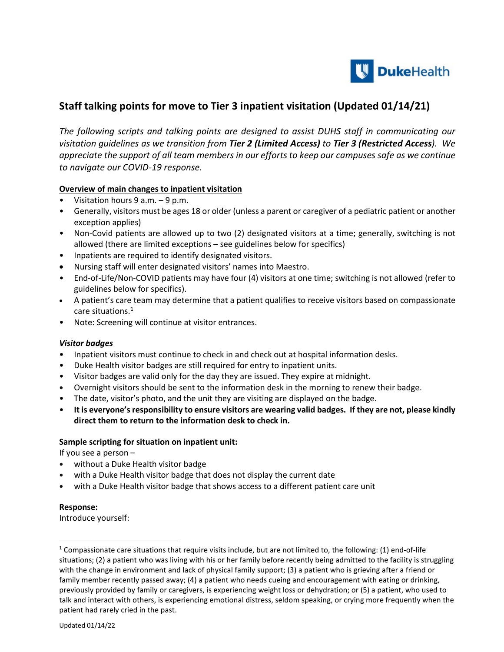

# **Staff talking points for move to Tier 3 inpatient visitation (Updated 01/14/21)**

*The following scripts and talking points are designed to assist DUHS staff in communicating our visitation guidelines as we transition from Tier 2 (Limited Access) to Tier 3 (Restricted Access). We appreciate the support of all team members in our effortsto keep our campuses safe as we continue to navigate our COVID-19 response.*

## **Overview of main changes to inpatient visitation**

- Visitation hours 9 a.m. 9 p.m.
- Generally, visitors must be ages 18 or older (unless a parent or caregiver of a pediatric patient or another exception applies)
- Non-Covid patients are allowed up to two (2) designated visitors at a time; generally, switching is not allowed (there are limited exceptions – see guidelines below for specifics)
- Inpatients are required to identify designated visitors.
- Nursing staff will enter designated visitors' names into Maestro.
- End-of-Life/Non-COVID patients may have four (4) visitors at one time; switching is not allowed (refer to guidelines below for specifics).
- A patient's care team may determine that a patient qualifies to receive visitors based on compassionate care situations.<sup>[1](#page-0-0)</sup>
- Note: Screening will continue at visitor entrances.

## *Visitor badges*

- Inpatient visitors must continue to check in and check out at hospital information desks.
- Duke Health visitor badges are still required for entry to inpatient units.
- Visitor badges are valid only for the day they are issued. They expire at midnight.
- **•** Overnight visitors should be sent to the information desk in the morning to renew their badge.
- The date, visitor's photo, and the unit they are visiting are displayed on the badge.
- **It is everyone's responsibility to ensure visitors are wearing valid badges. If they are not, please kindly direct them to return to the information desk to check in.**

## **Sample scripting for situation on inpatient unit:**

If you see a person –

- **•** without a Duke Health visitor badge
- **•** with a Duke Health visitor badge that does not display the current date
- **•** with a Duke Health visitor badge that shows access to a different patient care unit

## **Response:**

 $\overline{a}$ 

Introduce yourself:

<span id="page-0-0"></span><sup>&</sup>lt;sup>1</sup> Compassionate care situations that require visits include, but are not limited to, the following: (1) end-of-life situations; (2) a patient who was living with his or her family before recently being admitted to the facility is struggling with the change in environment and lack of physical family support; (3) a patient who is grieving after a friend or family member recently passed away; (4) a patient who needs cueing and encouragement with eating or drinking, previously provided by family or caregivers, is experiencing weight loss or dehydration; or (5) a patient, who used to talk and interact with others, is experiencing emotional distress, seldom speaking, or crying more frequently when the patient had rarely cried in the past.